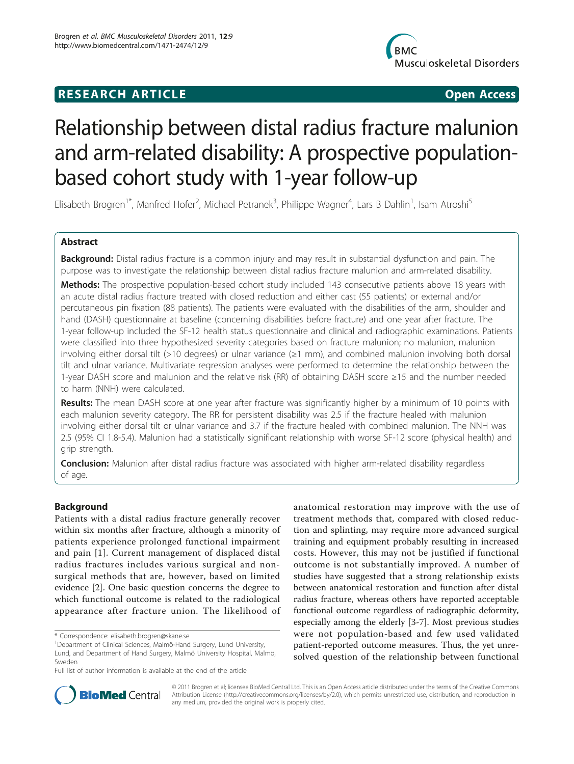# **RESEARCH ARTICLE Example 2018 CONSIDERING ACCESS**



# Relationship between distal radius fracture malunion and arm-related disability: A prospective populationbased cohort study with 1-year follow-up

Elisabeth Brogren<sup>1\*</sup>, Manfred Hofer<sup>2</sup>, Michael Petranek<sup>3</sup>, Philippe Wagner<sup>4</sup>, Lars B Dahlin<sup>1</sup>, Isam Atroshi<sup>5</sup>

# Abstract

Background: Distal radius fracture is a common injury and may result in substantial dysfunction and pain. The purpose was to investigate the relationship between distal radius fracture malunion and arm-related disability. **Methods:** The prospective population-based cohort study included 143 consecutive patients above 18 years with an acute distal radius fracture treated with closed reduction and either cast (55 patients) or external and/or percutaneous pin fixation (88 patients). The patients were evaluated with the disabilities of the arm, shoulder and hand (DASH) questionnaire at baseline (concerning disabilities before fracture) and one year after fracture. The 1-year follow-up included the SF-12 health status questionnaire and clinical and radiographic examinations. Patients were classified into three hypothesized severity categories based on fracture malunion; no malunion, malunion involving either dorsal tilt (>10 degrees) or ulnar variance (≥1 mm), and combined malunion involving both dorsal tilt and ulnar variance. Multivariate regression analyses were performed to determine the relationship between the 1-year DASH score and malunion and the relative risk (RR) of obtaining DASH score ≥15 and the number needed to harm (NNH) were calculated.

Results: The mean DASH score at one year after fracture was significantly higher by a minimum of 10 points with each malunion severity category. The RR for persistent disability was 2.5 if the fracture healed with malunion involving either dorsal tilt or ulnar variance and 3.7 if the fracture healed with combined malunion. The NNH was 2.5 (95% CI 1.8-5.4). Malunion had a statistically significant relationship with worse SF-12 score (physical health) and grip strength.

**Conclusion:** Malunion after distal radius fracture was associated with higher arm-related disability regardless of age.

# Background

Patients with a distal radius fracture generally recover within six months after fracture, although a minority of patients experience prolonged functional impairment and pain [[1\]](#page-8-0). Current management of displaced distal radius fractures includes various surgical and nonsurgical methods that are, however, based on limited evidence [[2\]](#page-8-0). One basic question concerns the degree to which functional outcome is related to the radiological appearance after fracture union. The likelihood of anatomical restoration may improve with the use of treatment methods that, compared with closed reduction and splinting, may require more advanced surgical training and equipment probably resulting in increased costs. However, this may not be justified if functional outcome is not substantially improved. A number of studies have suggested that a strong relationship exists between anatomical restoration and function after distal radius fracture, whereas others have reported acceptable functional outcome regardless of radiographic deformity, especially among the elderly [[3-7](#page-8-0)]. Most previous studies were not population-based and few used validated patient-reported outcome measures. Thus, the yet unresolved question of the relationship between functional



© 2011 Brogren et al; licensee BioMed Central Ltd. This is an Open Access article distributed under the terms of the Creative Commons Attribution License [\(http://creativecommons.org/licenses/by/2.0](http://creativecommons.org/licenses/by/2.0)), which permits unrestricted use, distribution, and reproduction in any medium, provided the original work is properly cited.

<sup>\*</sup> Correspondence: [elisabeth.brogren@skane.se](mailto:elisabeth.brogren@skane.se)

<sup>&</sup>lt;sup>1</sup>Department of Clinical Sciences, Malmö-Hand Surgery, Lund University, Lund, and Department of Hand Surgery, Malmö University Hospital, Malmö, Sweden

Full list of author information is available at the end of the article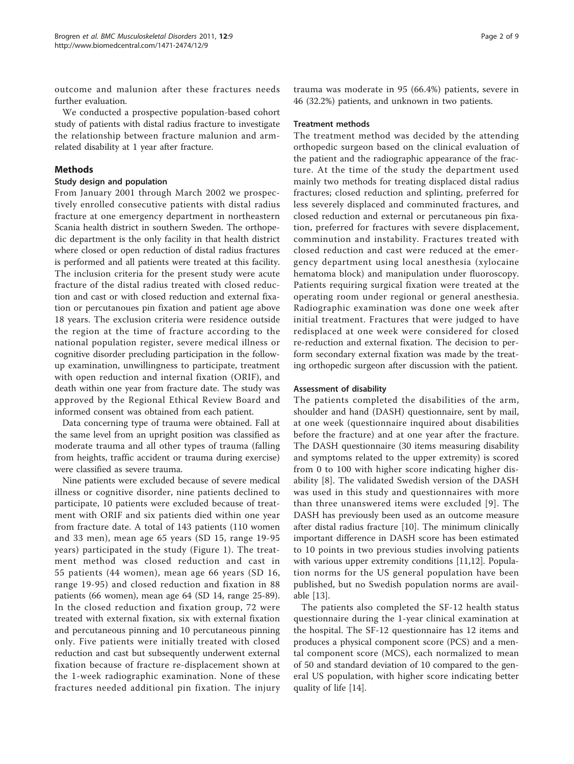outcome and malunion after these fractures needs further evaluation.

We conducted a prospective population-based cohort study of patients with distal radius fracture to investigate the relationship between fracture malunion and armrelated disability at 1 year after fracture.

# Methods

# Study design and population

From January 2001 through March 2002 we prospectively enrolled consecutive patients with distal radius fracture at one emergency department in northeastern Scania health district in southern Sweden. The orthopedic department is the only facility in that health district where closed or open reduction of distal radius fractures is performed and all patients were treated at this facility. The inclusion criteria for the present study were acute fracture of the distal radius treated with closed reduction and cast or with closed reduction and external fixation or percutanoues pin fixation and patient age above 18 years. The exclusion criteria were residence outside the region at the time of fracture according to the national population register, severe medical illness or cognitive disorder precluding participation in the followup examination, unwillingness to participate, treatment with open reduction and internal fixation (ORIF), and death within one year from fracture date. The study was approved by the Regional Ethical Review Board and informed consent was obtained from each patient.

Data concerning type of trauma were obtained. Fall at the same level from an upright position was classified as moderate trauma and all other types of trauma (falling from heights, traffic accident or trauma during exercise) were classified as severe trauma.

Nine patients were excluded because of severe medical illness or cognitive disorder, nine patients declined to participate, 10 patients were excluded because of treatment with ORIF and six patients died within one year from fracture date. A total of 143 patients (110 women and 33 men), mean age 65 years (SD 15, range 19-95 years) participated in the study (Figure [1\)](#page-2-0). The treatment method was closed reduction and cast in 55 patients (44 women), mean age 66 years (SD 16, range 19-95) and closed reduction and fixation in 88 patients (66 women), mean age 64 (SD 14, range 25-89). In the closed reduction and fixation group, 72 were treated with external fixation, six with external fixation and percutaneous pinning and 10 percutaneous pinning only. Five patients were initially treated with closed reduction and cast but subsequently underwent external fixation because of fracture re-displacement shown at the 1-week radiographic examination. None of these fractures needed additional pin fixation. The injury

trauma was moderate in 95 (66.4%) patients, severe in 46 (32.2%) patients, and unknown in two patients.

#### Treatment methods

The treatment method was decided by the attending orthopedic surgeon based on the clinical evaluation of the patient and the radiographic appearance of the fracture. At the time of the study the department used mainly two methods for treating displaced distal radius fractures; closed reduction and splinting, preferred for less severely displaced and comminuted fractures, and closed reduction and external or percutaneous pin fixation, preferred for fractures with severe displacement, comminution and instability. Fractures treated with closed reduction and cast were reduced at the emergency department using local anesthesia (xylocaine hematoma block) and manipulation under fluoroscopy. Patients requiring surgical fixation were treated at the operating room under regional or general anesthesia. Radiographic examination was done one week after initial treatment. Fractures that were judged to have redisplaced at one week were considered for closed re-reduction and external fixation. The decision to perform secondary external fixation was made by the treating orthopedic surgeon after discussion with the patient.

# Assessment of disability

The patients completed the disabilities of the arm, shoulder and hand (DASH) questionnaire, sent by mail, at one week (questionnaire inquired about disabilities before the fracture) and at one year after the fracture. The DASH questionnaire (30 items measuring disability and symptoms related to the upper extremity) is scored from 0 to 100 with higher score indicating higher disability [[8](#page-8-0)]. The validated Swedish version of the DASH was used in this study and questionnaires with more than three unanswered items were excluded [[9](#page-8-0)]. The DASH has previously been used as an outcome measure after distal radius fracture [[10\]](#page-8-0). The minimum clinically important difference in DASH score has been estimated to 10 points in two previous studies involving patients with various upper extremity conditions [[11](#page-8-0),[12](#page-8-0)]. Population norms for the US general population have been published, but no Swedish population norms are available [[13](#page-8-0)].

The patients also completed the SF-12 health status questionnaire during the 1-year clinical examination at the hospital. The SF-12 questionnaire has 12 items and produces a physical component score (PCS) and a mental component score (MCS), each normalized to mean of 50 and standard deviation of 10 compared to the general US population, with higher score indicating better quality of life [\[14](#page-8-0)].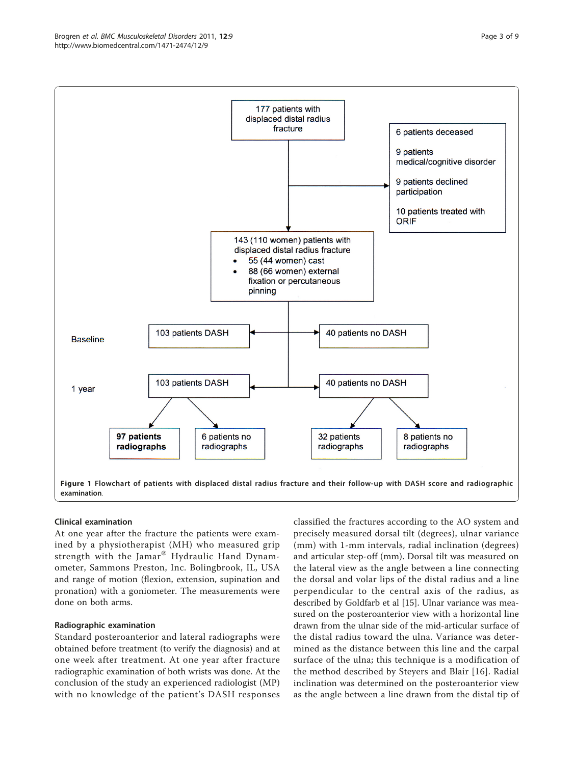<span id="page-2-0"></span>

#### Clinical examination

At one year after the fracture the patients were examined by a physiotherapist (MH) who measured grip strength with the Jamar® Hydraulic Hand Dynamometer, Sammons Preston, Inc. Bolingbrook, IL, USA and range of motion (flexion, extension, supination and pronation) with a goniometer. The measurements were done on both arms.

# Radiographic examination

Standard posteroanterior and lateral radiographs were obtained before treatment (to verify the diagnosis) and at one week after treatment. At one year after fracture radiographic examination of both wrists was done. At the conclusion of the study an experienced radiologist (MP) with no knowledge of the patient's DASH responses classified the fractures according to the AO system and precisely measured dorsal tilt (degrees), ulnar variance (mm) with 1-mm intervals, radial inclination (degrees) and articular step-off (mm). Dorsal tilt was measured on the lateral view as the angle between a line connecting the dorsal and volar lips of the distal radius and a line perpendicular to the central axis of the radius, as described by Goldfarb et al [\[15](#page-8-0)]. Ulnar variance was measured on the posteroanterior view with a horizontal line drawn from the ulnar side of the mid-articular surface of the distal radius toward the ulna. Variance was determined as the distance between this line and the carpal surface of the ulna; this technique is a modification of the method described by Steyers and Blair [[16](#page-8-0)]. Radial inclination was determined on the posteroanterior view as the angle between a line drawn from the distal tip of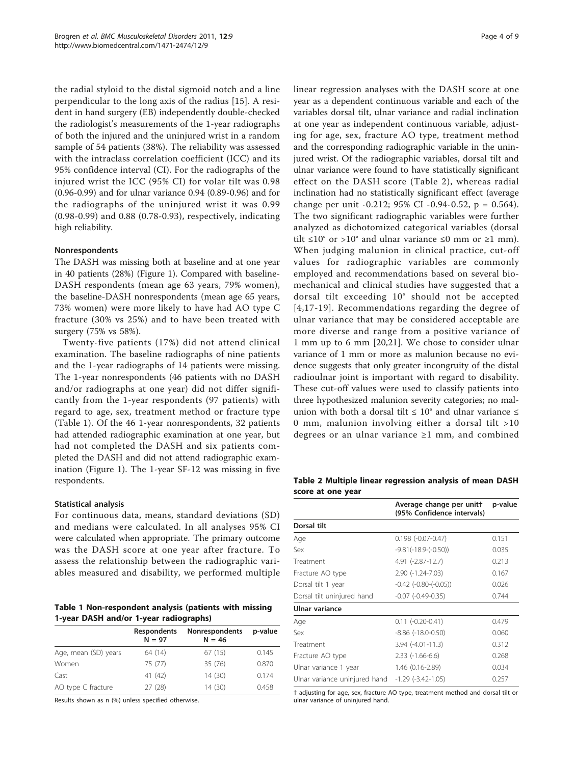the radial styloid to the distal sigmoid notch and a line perpendicular to the long axis of the radius [[15\]](#page-8-0). A resident in hand surgery (EB) independently double-checked the radiologist's measurements of the 1-year radiographs of both the injured and the uninjured wrist in a random sample of 54 patients (38%). The reliability was assessed with the intraclass correlation coefficient (ICC) and its 95% confidence interval (CI). For the radiographs of the injured wrist the ICC (95% CI) for volar tilt was 0.98 (0.96-0.99) and for ulnar variance 0.94 (0.89-0.96) and for the radiographs of the uninjured wrist it was 0.99 (0.98-0.99) and 0.88 (0.78-0.93), respectively, indicating high reliability.

#### Nonrespondents

The DASH was missing both at baseline and at one year in 40 patients (28%) (Figure [1](#page-2-0)). Compared with baseline-DASH respondents (mean age 63 years, 79% women), the baseline-DASH nonrespondents (mean age 65 years, 73% women) were more likely to have had AO type C fracture (30% vs 25%) and to have been treated with surgery (75% vs 58%).

Twenty-five patients (17%) did not attend clinical examination. The baseline radiographs of nine patients and the 1-year radiographs of 14 patients were missing. The 1-year nonrespondents (46 patients with no DASH and/or radiographs at one year) did not differ significantly from the 1-year respondents (97 patients) with regard to age, sex, treatment method or fracture type (Table 1). Of the 46 1-year nonrespondents, 32 patients had attended radiographic examination at one year, but had not completed the DASH and six patients completed the DASH and did not attend radiographic examination (Figure [1\)](#page-2-0). The 1-year SF-12 was missing in five respondents.

#### Statistical analysis

For continuous data, means, standard deviations (SD) and medians were calculated. In all analyses 95% CI were calculated when appropriate. The primary outcome was the DASH score at one year after fracture. To assess the relationship between the radiographic variables measured and disability, we performed multiple

Table 1 Non-respondent analysis (patients with missing 1-year DASH and/or 1-year radiographs)

|                      | <b>Respondents</b><br>$N = 97$ | Nonrespondents<br>$N = 46$ | p-value |  |
|----------------------|--------------------------------|----------------------------|---------|--|
| Age, mean (SD) years | 64 (14)                        | 67(15)                     | 0.145   |  |
| Women                | 75 (77)                        | 35 (76)                    | 0.870   |  |
| Cast                 | 41 (42)                        | 14(30)                     | 0.174   |  |
| AO type C fracture   | 27 (28)                        | 14 (30)                    | 0.458   |  |

Results shown as n (%) unless specified otherwise.

linear regression analyses with the DASH score at one year as a dependent continuous variable and each of the variables dorsal tilt, ulnar variance and radial inclination at one year as independent continuous variable, adjusting for age, sex, fracture AO type, treatment method and the corresponding radiographic variable in the uninjured wrist. Of the radiographic variables, dorsal tilt and ulnar variance were found to have statistically significant effect on the DASH score (Table 2), whereas radial inclination had no statistically significant effect (average change per unit -0.212; 95% CI -0.94-0.52, p = 0.564). The two significant radiographic variables were further analyzed as dichotomized categorical variables (dorsal tilt ≤10° or >10° and ulnar variance ≤0 mm or ≥1 mm). When judging malunion in clinical practice, cut-off values for radiographic variables are commonly employed and recommendations based on several biomechanical and clinical studies have suggested that a dorsal tilt exceeding 10° should not be accepted [[4](#page-8-0),[17-19\]](#page-8-0). Recommendations regarding the degree of ulnar variance that may be considered acceptable are more diverse and range from a positive variance of 1 mm up to 6 mm [[20](#page-8-0),[21\]](#page-8-0). We chose to consider ulnar variance of 1 mm or more as malunion because no evidence suggests that only greater incongruity of the distal radioulnar joint is important with regard to disability. These cut-off values were used to classify patients into three hypothesized malunion severity categories; no malunion with both a dorsal tilt  $\leq 10^{\circ}$  and ulnar variance  $\leq$ 0 mm, malunion involving either a dorsal tilt >10 degrees or an ulnar variance ≥1 mm, and combined

Table 2 Multiple linear regression analysis of mean DASH score at one year

|                               | Average change per unitt<br>(95% Confidence intervals) | p-value |
|-------------------------------|--------------------------------------------------------|---------|
| Dorsal tilt                   |                                                        |         |
| Age                           | $0.198(-0.07-0.47)$                                    | 0.151   |
| Sex                           | $-9.81(-18.9-(-0.50))$                                 | 0.035   |
| Treatment                     | 4.91 (-2.87-12.7)                                      | 0.213   |
| Fracture AO type              | 2.90 (-1.24-7.03)                                      | 0.167   |
| Dorsal tilt 1 year            | $-0.42$ $(-0.80 - (-0.05))$                            | 0.026   |
| Dorsal tilt uninjured hand    | $-0.07$ $(-0.49 - 0.35)$                               | 0.744   |
| Ulnar variance                |                                                        |         |
| Age                           | $0.11(-0.20-0.41)$                                     | 0.479   |
| Sex                           | $-8.86$ $(-18.0 - 0.50)$                               | 0.060   |
| Treatment                     | $3.94$ (-4.01-11.3)                                    | 0.312   |
| Fracture AO type              | $2.33$ $(-1.66-6.6)$                                   | 0.268   |
| Ulnar variance 1 year         | $1.46(0.16-2.89)$                                      | 0.034   |
| Ulnar variance uninjured hand | $-1.29$ ( $-3.42-1.05$ )                               | 0.257   |

† adjusting for age, sex, fracture AO type, treatment method and dorsal tilt or ulnar variance of uninjured hand.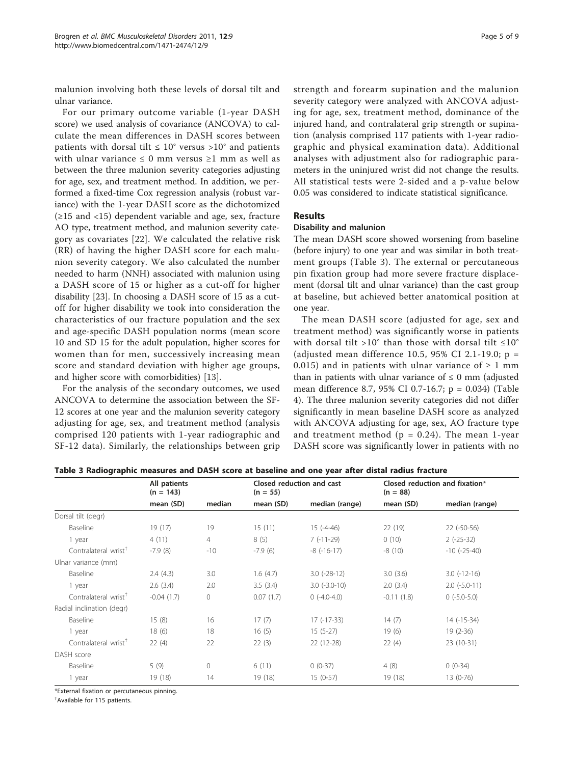malunion involving both these levels of dorsal tilt and ulnar variance.

For our primary outcome variable (1-year DASH score) we used analysis of covariance (ANCOVA) to calculate the mean differences in DASH scores between patients with dorsal tilt  $\leq 10^{\circ}$  versus >10° and patients with ulnar variance  $\leq 0$  mm versus  $\geq 1$  mm as well as between the three malunion severity categories adjusting for age, sex, and treatment method. In addition, we performed a fixed-time Cox regression analysis (robust variance) with the 1-year DASH score as the dichotomized (≥15 and <15) dependent variable and age, sex, fracture AO type, treatment method, and malunion severity category as covariates [[22](#page-8-0)]. We calculated the relative risk (RR) of having the higher DASH score for each malunion severity category. We also calculated the number needed to harm (NNH) associated with malunion using a DASH score of 15 or higher as a cut-off for higher disability [\[23\]](#page-8-0). In choosing a DASH score of 15 as a cutoff for higher disability we took into consideration the characteristics of our fracture population and the sex and age-specific DASH population norms (mean score 10 and SD 15 for the adult population, higher scores for women than for men, successively increasing mean score and standard deviation with higher age groups, and higher score with comorbidities) [[13](#page-8-0)].

For the analysis of the secondary outcomes, we used ANCOVA to determine the association between the SF-12 scores at one year and the malunion severity category adjusting for age, sex, and treatment method (analysis comprised 120 patients with 1-year radiographic and SF-12 data). Similarly, the relationships between grip strength and forearm supination and the malunion severity category were analyzed with ANCOVA adjusting for age, sex, treatment method, dominance of the injured hand, and contralateral grip strength or supination (analysis comprised 117 patients with 1-year radiographic and physical examination data). Additional analyses with adjustment also for radiographic parameters in the uninjured wrist did not change the results. All statistical tests were 2-sided and a p-value below 0.05 was considered to indicate statistical significance.

# Results

#### Disability and malunion

The mean DASH score showed worsening from baseline (before injury) to one year and was similar in both treatment groups (Table 3). The external or percutaneous pin fixation group had more severe fracture displacement (dorsal tilt and ulnar variance) than the cast group at baseline, but achieved better anatomical position at one year.

The mean DASH score (adjusted for age, sex and treatment method) was significantly worse in patients with dorsal tilt >10° than those with dorsal tilt  $\leq 10^{\circ}$ (adjusted mean difference 10.5, 95% CI 2.1-19.0;  $p =$ 0.015) and in patients with ulnar variance of  $\geq 1$  mm than in patients with ulnar variance of  $\leq 0$  mm (adjusted mean difference 8.7, 95% CI 0.7-16.7; p = 0.034) (Table [4\)](#page-5-0). The three malunion severity categories did not differ significantly in mean baseline DASH score as analyzed with ANCOVA adjusting for age, sex, AO fracture type and treatment method ( $p = 0.24$ ). The mean 1-year DASH score was significantly lower in patients with no

|                                  | All patients<br>$(n = 143)$ |                | Closed reduction and cast<br>$(n = 55)$ |                       | Closed reduction and fixation*<br>$(n = 88)$ |                     |
|----------------------------------|-----------------------------|----------------|-----------------------------------------|-----------------------|----------------------------------------------|---------------------|
|                                  | mean (SD)                   | median         | mean (SD)                               | median (range)        | mean (SD)                                    | median (range)      |
| Dorsal tilt (degr)               |                             |                |                                         |                       |                                              |                     |
| Baseline                         | 19 (17)                     | 19             | 15(11)                                  | $15(-4-46)$           | 22 (19)                                      | $22$ (-50-56)       |
| 1 year                           | 4(11)                       | $\overline{4}$ | 8(5)                                    | $7(-11-29)$           | 0(10)                                        | $2(-25-32)$         |
| Contralateral wrist <sup>+</sup> | $-7.9(8)$                   | $-10$          | $-7.9(6)$                               | $-8$ ( $-16-17$ )     | $-8(10)$                                     | $-10$ $(-25-40)$    |
| Ulnar variance (mm)              |                             |                |                                         |                       |                                              |                     |
| Baseline                         | 2.4(4.3)                    | 3.0            | 1.6(4.7)                                | $3.0$ ( $-28-12$ )    | 3.0(3.6)                                     | $3.0$ ( $-12-16$ )  |
| 1 year                           | 2.6(3.4)                    | 2.0            | 3.5(3.4)                                | $3.0$ ( $-3.0 - 10$ ) | 2.0(3.4)                                     | $2.0$ ( $-5.0-11$ ) |
| Contralateral wrist <sup>+</sup> | $-0.04(1.7)$                | $\mathbf{0}$   | 0.07(1.7)                               | $0$ (-4.0-4.0)        | $-0.11(1.8)$                                 | $0$ (-5.0-5.0)      |
| Radial inclination (degr)        |                             |                |                                         |                       |                                              |                     |
| Baseline                         | 15(8)                       | 16             | 17(7)                                   | $17(-17-33)$          | 14(7)                                        | $14$ ( $-15-34$ )   |
| 1 year                           | 18(6)                       | 18             | 16(5)                                   | $15(5-27)$            | 19(6)                                        | $19(2-36)$          |
| Contralateral wrist <sup>T</sup> | 22(4)                       | 22             | 22(3)                                   | 22 (12-28)            | 22(4)                                        | 23 (10-31)          |
| DASH score                       |                             |                |                                         |                       |                                              |                     |
| Baseline                         | 5(9)                        | $\mathbf{0}$   | 6(11)                                   | $0(0-37)$             | 4(8)                                         | $0(0-34)$           |
| 1 year                           | 19 (18)                     | 14             | 19 (18)                                 | $15(0-57)$            | 19 (18)                                      | $13(0-76)$          |

Table 3 Radiographic measures and DASH score at baseline and one year after distal radius fracture

\*External fixation or percutaneous pinning.

† Available for 115 patients.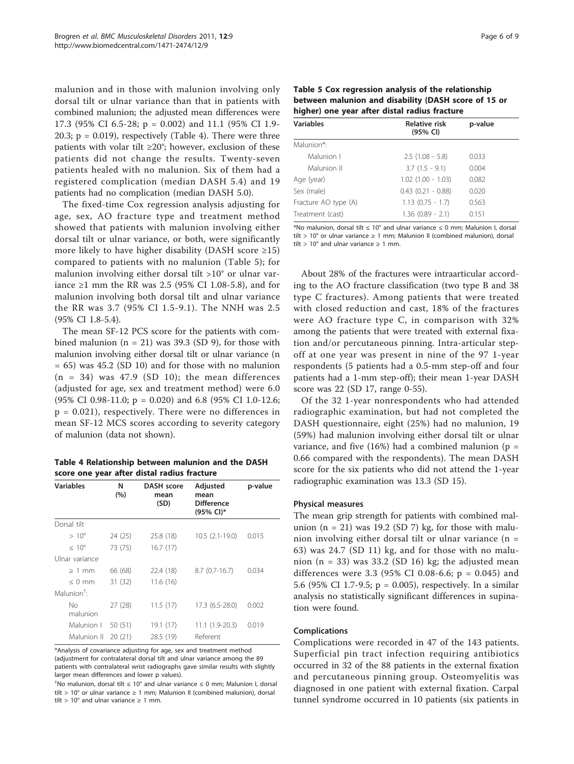<span id="page-5-0"></span>malunion and in those with malunion involving only dorsal tilt or ulnar variance than that in patients with combined malunion; the adjusted mean differences were 17.3 (95% CI 6.5-28; p = 0.002) and 11.1 (95% CI 1.9- 20.3;  $p = 0.019$ ), respectively (Table 4). There were three patients with volar tilt  $\geq 20^\circ$ ; however, exclusion of these patients did not change the results. Twenty-seven patients healed with no malunion. Six of them had a registered complication (median DASH 5.4) and 19 patients had no complication (median DASH 5.0).

The fixed-time Cox regression analysis adjusting for age, sex, AO fracture type and treatment method showed that patients with malunion involving either dorsal tilt or ulnar variance, or both, were significantly more likely to have higher disability (DASH score  $\geq$ 15) compared to patients with no malunion (Table 5); for malunion involving either dorsal tilt >10° or ulnar variance ≥1 mm the RR was 2.5 (95% CI 1.08-5.8), and for malunion involving both dorsal tilt and ulnar variance the RR was 3.7 (95% CI 1.5-9.1). The NNH was 2.5 (95% CI 1.8-5.4).

The mean SF-12 PCS score for the patients with combined malunion  $(n = 21)$  was 39.3 (SD 9), for those with malunion involving either dorsal tilt or ulnar variance (n  $= 65$ ) was 45.2 (SD 10) and for those with no malunion  $(n = 34)$  was 47.9 (SD 10); the mean differences (adjusted for age, sex and treatment method) were 6.0 (95% CI 0.98-11.0; p = 0.020) and 6.8 (95% CI 1.0-12.6;  $p = 0.021$ , respectively. There were no differences in mean SF-12 MCS scores according to severity category of malunion (data not shown).

Table 4 Relationship between malunion and the DASH score one year after distal radius fracture

| <b>Variables</b>      | Ν<br>(%) | DASH score<br>mean<br>(SD) | Adjusted<br>mean<br><b>Difference</b><br>(95% CI)* | p-value |
|-----------------------|----------|----------------------------|----------------------------------------------------|---------|
| Dorsal tilt           |          |                            |                                                    |         |
| $>10^{\circ}$         | 24 (25)  | 25.8 (18)                  | $10.5(2.1-19.0)$                                   | 0.015   |
| $< 10^{\circ}$        | 73 (75)  | 16.7(17)                   |                                                    |         |
| Ulnar variance        |          |                            |                                                    |         |
| $>1$ mm               | 66 (68)  | 22.4 (18)                  | $8.7(0.7-16.7)$                                    | 0.034   |
| $< 0$ mm              | 31 (32)  | 11.6(16)                   |                                                    |         |
| Malunion <sup>†</sup> |          |                            |                                                    |         |
| Νo<br>malunion        | 27(28)   | 11.5(17)                   | 17.3 (6.5-28.0)                                    | 0.002   |
| Malunion I            | 50 (51)  | 19.1 (17)                  | 11.1 (1.9-20.3)                                    | 0.019   |
| Malunion II           | 20(21)   | 28.5 (19)                  | Referent                                           |         |

\*Analysis of covariance adjusting for age, sex and treatment method (adjustment for contralateral dorsal tilt and ulnar variance among the 89 patients with contralateral wrist radiographs gave similar results with slightly larger mean differences and lower p values).

<sup>†</sup>No malunion, dorsal tilt  $\leq 10^{\circ}$  and ulnar variance  $\leq 0$  mm; Malunion I, dorsal tilt > 10° or ulnar variance ≥ 1 mm; Malunion II (combined malunion), dorsal tilt > 10° and ulnar variance  $\geq 1$  mm.

Table 5 Cox regression analysis of the relationship between malunion and disability (DASH score of 15 or higher) one year after distal radius fracture

| Variables            | Relative risk<br>(95% CI) | p-value |
|----------------------|---------------------------|---------|
| Malunion*:           |                           |         |
| Malunion I           | $2.5(1.08 - 5.8)$         | 0.033   |
| Malunion II          | $3.7(1.5 - 9.1)$          | 0.004   |
| Age (year)           | $1.02$ $(1.00 - 1.03)$    | 0.082   |
| Sex (male)           | $0.43$ $(0.21 - 0.88)$    | 0.020   |
| Fracture AO type (A) | $1.13$ $(0.75 - 1.7)$     | 0.563   |
| Treatment (cast)     | $1.36$ $(0.89 - 2.1)$     | 0.151   |

\*No malunion, dorsal tilt ≤ 10° and ulnar variance ≤ 0 mm; Malunion I, dorsal tilt > 10° or ulnar variance  $\geq 1$  mm; Malunion II (combined malunion), dorsal tilt > 10° and ulnar variance  $\geq 1$  mm.

About 28% of the fractures were intraarticular according to the AO fracture classification (two type B and 38 type C fractures). Among patients that were treated with closed reduction and cast, 18% of the fractures were AO fracture type C, in comparison with 32% among the patients that were treated with external fixation and/or percutaneous pinning. Intra-articular stepoff at one year was present in nine of the 97 1-year respondents (5 patients had a 0.5-mm step-off and four patients had a 1-mm step-off); their mean 1-year DASH score was 22 (SD 17, range 0-55).

Of the 32 1-year nonrespondents who had attended radiographic examination, but had not completed the DASH questionnaire, eight (25%) had no malunion, 19 (59%) had malunion involving either dorsal tilt or ulnar variance, and five (16%) had a combined malunion ( $p =$ 0.66 compared with the respondents). The mean DASH score for the six patients who did not attend the 1-year radiographic examination was 13.3 (SD 15).

#### Physical measures

The mean grip strength for patients with combined malunion (n = 21) was 19.2 (SD 7) kg, for those with malunion involving either dorsal tilt or ulnar variance (n = 63) was 24.7 (SD 11) kg, and for those with no malunion (n = 33) was 33.2 (SD 16) kg; the adjusted mean differences were 3.3 (95% CI 0.08-6.6; p = 0.045) and 5.6 (95% CI 1.7-9.5; p = 0.005), respectively. In a similar analysis no statistically significant differences in supination were found.

#### Complications

Complications were recorded in 47 of the 143 patients. Superficial pin tract infection requiring antibiotics occurred in 32 of the 88 patients in the external fixation and percutaneous pinning group. Osteomyelitis was diagnosed in one patient with external fixation. Carpal tunnel syndrome occurred in 10 patients (six patients in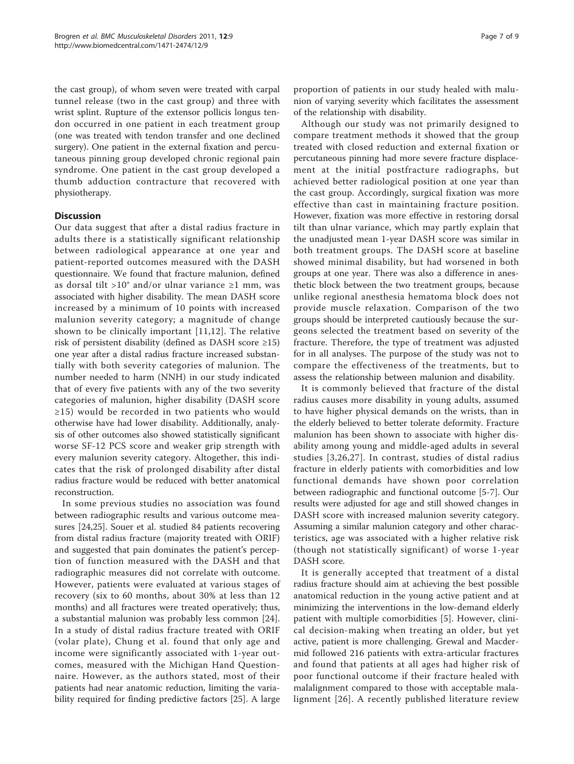the cast group), of whom seven were treated with carpal tunnel release (two in the cast group) and three with wrist splint. Rupture of the extensor pollicis longus tendon occurred in one patient in each treatment group (one was treated with tendon transfer and one declined surgery). One patient in the external fixation and percutaneous pinning group developed chronic regional pain syndrome. One patient in the cast group developed a thumb adduction contracture that recovered with physiotherapy.

# **Discussion**

Our data suggest that after a distal radius fracture in adults there is a statistically significant relationship between radiological appearance at one year and patient-reported outcomes measured with the DASH questionnaire. We found that fracture malunion, defined as dorsal tilt >10° and/or ulnar variance  $\geq 1$  mm, was associated with higher disability. The mean DASH score increased by a minimum of 10 points with increased malunion severity category; a magnitude of change shown to be clinically important [[11](#page-8-0),[12](#page-8-0)]. The relative risk of persistent disability (defined as DASH score  $\geq 15$ ) one year after a distal radius fracture increased substantially with both severity categories of malunion. The number needed to harm (NNH) in our study indicated that of every five patients with any of the two severity categories of malunion, higher disability (DASH score ≥15) would be recorded in two patients who would otherwise have had lower disability. Additionally, analysis of other outcomes also showed statistically significant worse SF-12 PCS score and weaker grip strength with every malunion severity category. Altogether, this indicates that the risk of prolonged disability after distal radius fracture would be reduced with better anatomical reconstruction.

In some previous studies no association was found between radiographic results and various outcome measures [\[24,25](#page-8-0)]. Souer et al. studied 84 patients recovering from distal radius fracture (majority treated with ORIF) and suggested that pain dominates the patient's perception of function measured with the DASH and that radiographic measures did not correlate with outcome. However, patients were evaluated at various stages of recovery (six to 60 months, about 30% at less than 12 months) and all fractures were treated operatively; thus, a substantial malunion was probably less common [\[24](#page-8-0)]. In a study of distal radius fracture treated with ORIF (volar plate), Chung et al. found that only age and income were significantly associated with 1-year outcomes, measured with the Michigan Hand Questionnaire. However, as the authors stated, most of their patients had near anatomic reduction, limiting the variability required for finding predictive factors [\[25\]](#page-8-0). A large

proportion of patients in our study healed with malunion of varying severity which facilitates the assessment of the relationship with disability.

Although our study was not primarily designed to compare treatment methods it showed that the group treated with closed reduction and external fixation or percutaneous pinning had more severe fracture displacement at the initial postfracture radiographs, but achieved better radiological position at one year than the cast group. Accordingly, surgical fixation was more effective than cast in maintaining fracture position. However, fixation was more effective in restoring dorsal tilt than ulnar variance, which may partly explain that the unadjusted mean 1-year DASH score was similar in both treatment groups. The DASH score at baseline showed minimal disability, but had worsened in both groups at one year. There was also a difference in anesthetic block between the two treatment groups, because unlike regional anesthesia hematoma block does not provide muscle relaxation. Comparison of the two groups should be interpreted cautiously because the surgeons selected the treatment based on severity of the fracture. Therefore, the type of treatment was adjusted for in all analyses. The purpose of the study was not to compare the effectiveness of the treatments, but to assess the relationship between malunion and disability.

It is commonly believed that fracture of the distal radius causes more disability in young adults, assumed to have higher physical demands on the wrists, than in the elderly believed to better tolerate deformity. Fracture malunion has been shown to associate with higher disability among young and middle-aged adults in several studies [\[3,26,27\]](#page-8-0). In contrast, studies of distal radius fracture in elderly patients with comorbidities and low functional demands have shown poor correlation between radiographic and functional outcome [\[5](#page-8-0)-[7](#page-8-0)]. Our results were adjusted for age and still showed changes in DASH score with increased malunion severity category. Assuming a similar malunion category and other characteristics, age was associated with a higher relative risk (though not statistically significant) of worse 1-year DASH score.

It is generally accepted that treatment of a distal radius fracture should aim at achieving the best possible anatomical reduction in the young active patient and at minimizing the interventions in the low-demand elderly patient with multiple comorbidities [\[5](#page-8-0)]. However, clinical decision-making when treating an older, but yet active, patient is more challenging. Grewal and Macdermid followed 216 patients with extra-articular fractures and found that patients at all ages had higher risk of poor functional outcome if their fracture healed with malalignment compared to those with acceptable malalignment [[26](#page-8-0)]. A recently published literature review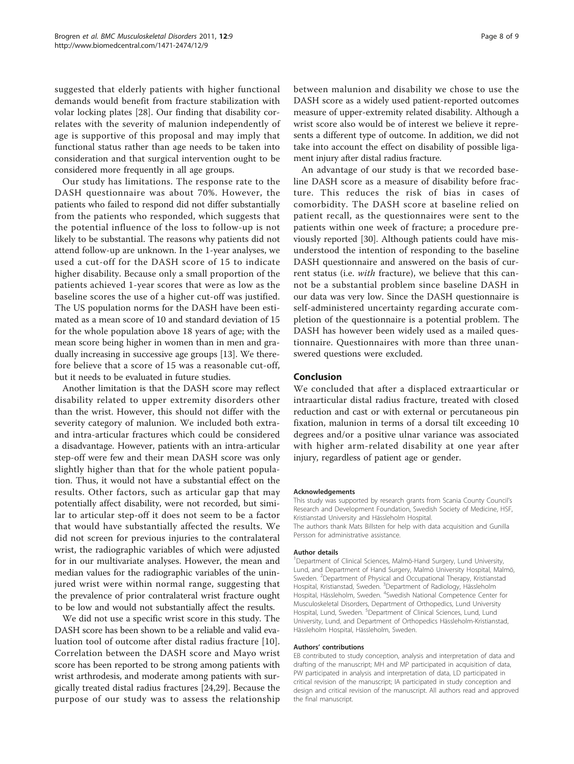suggested that elderly patients with higher functional demands would benefit from fracture stabilization with volar locking plates [[28](#page-8-0)]. Our finding that disability correlates with the severity of malunion independently of age is supportive of this proposal and may imply that functional status rather than age needs to be taken into consideration and that surgical intervention ought to be considered more frequently in all age groups.

Our study has limitations. The response rate to the DASH questionnaire was about 70%. However, the patients who failed to respond did not differ substantially from the patients who responded, which suggests that the potential influence of the loss to follow-up is not likely to be substantial. The reasons why patients did not attend follow-up are unknown. In the 1-year analyses, we used a cut-off for the DASH score of 15 to indicate higher disability. Because only a small proportion of the patients achieved 1-year scores that were as low as the baseline scores the use of a higher cut-off was justified. The US population norms for the DASH have been estimated as a mean score of 10 and standard deviation of 15 for the whole population above 18 years of age; with the mean score being higher in women than in men and gradually increasing in successive age groups [\[13](#page-8-0)]. We therefore believe that a score of 15 was a reasonable cut-off, but it needs to be evaluated in future studies.

Another limitation is that the DASH score may reflect disability related to upper extremity disorders other than the wrist. However, this should not differ with the severity category of malunion. We included both extraand intra-articular fractures which could be considered a disadvantage. However, patients with an intra-articular step-off were few and their mean DASH score was only slightly higher than that for the whole patient population. Thus, it would not have a substantial effect on the results. Other factors, such as articular gap that may potentially affect disability, were not recorded, but similar to articular step-off it does not seem to be a factor that would have substantially affected the results. We did not screen for previous injuries to the contralateral wrist, the radiographic variables of which were adjusted for in our multivariate analyses. However, the mean and median values for the radiographic variables of the uninjured wrist were within normal range, suggesting that the prevalence of prior contralateral wrist fracture ought to be low and would not substantially affect the results.

We did not use a specific wrist score in this study. The DASH score has been shown to be a reliable and valid evaluation tool of outcome after distal radius fracture [[10](#page-8-0)]. Correlation between the DASH score and Mayo wrist score has been reported to be strong among patients with wrist arthrodesis, and moderate among patients with surgically treated distal radius fractures [[24,29\]](#page-8-0). Because the purpose of our study was to assess the relationship Page 8 of 9

between malunion and disability we chose to use the DASH score as a widely used patient-reported outcomes measure of upper-extremity related disability. Although a wrist score also would be of interest we believe it represents a different type of outcome. In addition, we did not take into account the effect on disability of possible ligament injury after distal radius fracture.

An advantage of our study is that we recorded baseline DASH score as a measure of disability before fracture. This reduces the risk of bias in cases of comorbidity. The DASH score at baseline relied on patient recall, as the questionnaires were sent to the patients within one week of fracture; a procedure previously reported [\[30](#page-8-0)]. Although patients could have misunderstood the intention of responding to the baseline DASH questionnaire and answered on the basis of current status (i.e. with fracture), we believe that this cannot be a substantial problem since baseline DASH in our data was very low. Since the DASH questionnaire is self-administered uncertainty regarding accurate completion of the questionnaire is a potential problem. The DASH has however been widely used as a mailed questionnaire. Questionnaires with more than three unanswered questions were excluded.

#### Conclusion

We concluded that after a displaced extraarticular or intraarticular distal radius fracture, treated with closed reduction and cast or with external or percutaneous pin fixation, malunion in terms of a dorsal tilt exceeding 10 degrees and/or a positive ulnar variance was associated with higher arm-related disability at one year after injury, regardless of patient age or gender.

#### Acknowledgements

This study was supported by research grants from Scania County Council's Research and Development Foundation, Swedish Society of Medicine, HSF, Kristianstad University and Hässleholm Hospital. The authors thank Mats Billsten for help with data acquisition and Gunilla Persson for administrative assistance.

#### Author details

<sup>1</sup>Department of Clinical Sciences, Malmö-Hand Surgery, Lund University, Lund, and Department of Hand Surgery, Malmö University Hospital, Malmö, Sweden. <sup>2</sup> Department of Physical and Occupational Therapy, Kristianstad Hospital, Kristianstad, Sweden. <sup>3</sup>Department of Radiology, Hässleholm Hospital, Hässleholm, Sweden. <sup>4</sup>Swedish National Competence Center for Musculoskeletal Disorders, Department of Orthopedics, Lund University Hospital, Lund, Sweden. <sup>5</sup>Department of Clinical Sciences, Lund, Lund University, Lund, and Department of Orthopedics Hässleholm-Kristianstad, Hässleholm Hospital, Hässleholm, Sweden.

#### Authors' contributions

EB contributed to study conception, analysis and interpretation of data and drafting of the manuscript; MH and MP participated in acquisition of data, PW participated in analysis and interpretation of data, LD participated in critical revision of the manuscript; IA participated in study conception and design and critical revision of the manuscript. All authors read and approved the final manuscript.